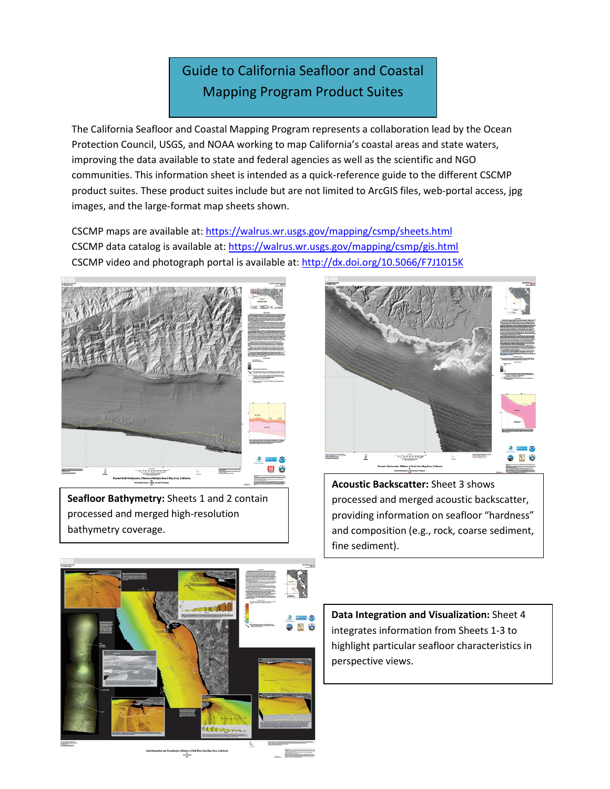## Guide to California Seafloor and Coastal Mapping Program Product Suites

The California Seafloor and Coastal Mapping Program represents a collaboration lead by the Ocean Protection Council, USGS, and NOAA working to map California's coastal areas and state waters, improving the data available to state and federal agencies as well as the scientific and NGO communities. This information sheet is intended as a quick-reference guide to the different CSCMP product suites. These product suites include but are not limited to ArcGIS files, web-portal access, jpg images, and the large-format map sheets shown.

CSCMP maps are available at[: https://walrus.wr.usgs.gov/mapping/csmp/sheets.html](https://walrus.wr.usgs.gov/mapping/csmp/sheets.html) CSCMP data catalog is available at[: https://walrus.wr.usgs.gov/mapping/csmp/gis.html](https://walrus.wr.usgs.gov/mapping/csmp/gis.html) CSCMP video and photograph portal is available at:<http://dx.doi.org/10.5066/F7J1015K>



**Seafloor Bathymetry:** Sheets 1 and 2 contain processed and merged high-resolution bathymetry coverage.

thhora c<br>مسيد<br>سيد



**Acoustic Backscatter:** Sheet 3 shows processed and merged acoustic backscatter, providing information on seafloor "hardness" and composition (e.g., rock, coarse sediment, fine sediment).

**Data Integration and Visualization:** Sheet 4 integrates information from Sheets 1-3 to highlight particular seafloor characteristics in perspective views.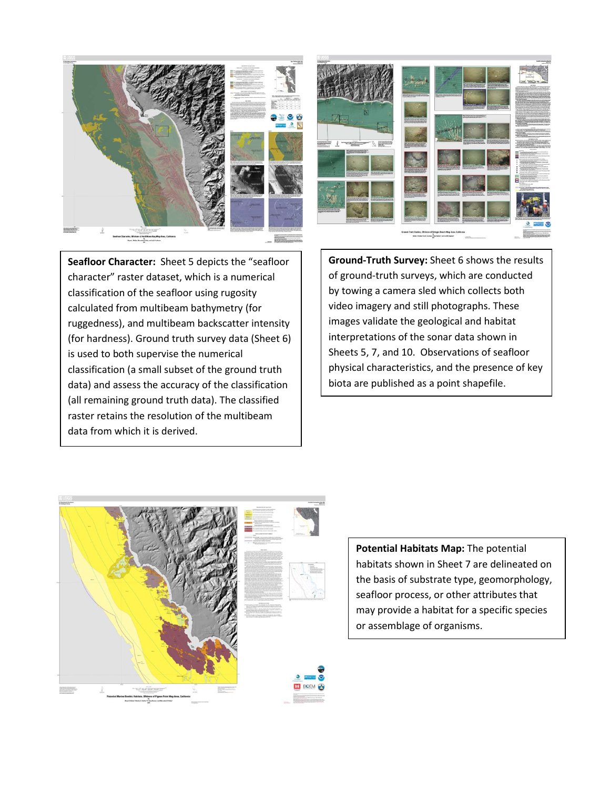



**Seafloor Character:** Sheet 5 depicts the "seafloor character" raster dataset, which is a numerical classification of the seafloor using rugosity calculated from multibeam bathymetry (for ruggedness), and multibeam backscatter intensity (for hardness). Ground truth survey data (Sheet 6) is used to both supervise the numerical classification (a small subset of the ground truth data) and assess the accuracy of the classification (all remaining ground truth data). The classified raster retains the resolution of the multibeam data from which it is derived.

**Ground-Truth Survey:** Sheet 6 shows the results of ground-truth surveys, which are conducted by towing a camera sled which collects both video imagery and still photographs. These images validate the geological and habitat interpretations of the sonar data shown in Sheets 5, 7, and 10. Observations of seafloor physical characteristics, and the presence of key biota are published as a point shapefile.



**Potential Habitats Map:** The potential habitats shown in Sheet 7 are delineated on the basis of substrate type, geomorphology, seafloor process, or other attributes that may provide a habitat for a specific species or assemblage of organisms.